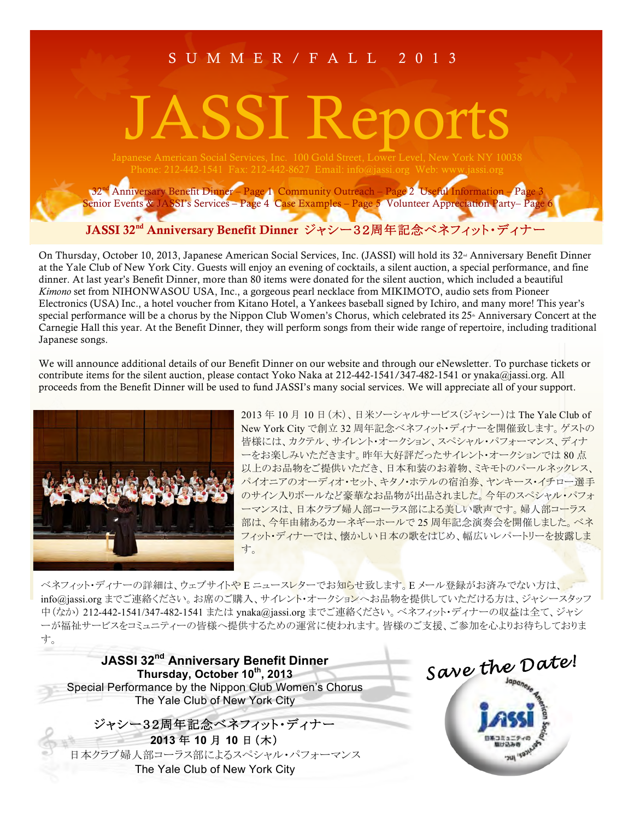# SUMMER/FALL 2013

# JASSI Reports

32nd Anniversary Benefit Dinner – Page 1 Community Outreach – Page 2 Useful Information – Page 3 Senior Events & JASSI's Services – Page 4 Case Examples – Page 5 Volunteer Appreciation Party– Page 6

JASSI 32<sup>nd</sup> Anniversary Benefit Dinner ジャシー32周年記念ベネフィット・ディナー

On Thursday, October 10, 2013, Japanese American Social Services, Inc. (JASSI) will hold its 32<sup>nd</sup> Anniversary Benefit Dinner at the Yale Club of New York City. Guests will enjoy an evening of cocktails, a silent auction, a special performance, and fine dinner. At last year's Benefit Dinner, more than 80 items were donated for the silent auction, which included a beautiful *Kimono* set from NIHONWASOU USA, Inc., a gorgeous pearl necklace from MIKIMOTO, audio sets from Pioneer Electronics (USA) Inc., a hotel voucher from Kitano Hotel, a Yankees baseball signed by Ichiro, and many more! This year's special performance will be a chorus by the Nippon Club Women's Chorus, which celebrated its 25<sup>th</sup> Anniversary Concert at the Carnegie Hall this year. At the Benefit Dinner, they will perform songs from their wide range of repertoire, including traditional Japanese songs.

We will announce additional details of our Benefit Dinner on our website and through our eNewsletter. To purchase tickets or contribute items for the silent auction, please contact Yoko Naka at 212-442-1541/347-482-1541 or ynaka@jassi.org. All proceeds from the Benefit Dinner will be used to fund JASSI's many social services. We will appreciate all of your support.



2013年10月10日(木)、日米ソーシャルサービス(ジャシー)は The Yale Club of New York City で創立 32 周年記念ベネフィット・ディナーを開催致します。ゲストの 皆様には、カクテル、サイレント・オークション、スペシャル・パフォーマンス、ディナ 一をお楽しみいただきます。昨年大好評だったサイレント・オークションでは80点 以上のお品物をご提供いただき、日本和装のお着物、ミキモトのパールネックレス、 パイオニアのオーディオ・セット、キタノ・ホテルの宿泊券、ヤンキース・イチロー選手 のサイン入りボールなど豪華なお品物が出品されました。今年のスペシャル・パフォ 一マンスは、日本クラブ婦人部コーラス部による美しい歌声です。婦人部コーラス 部は、今年由緒あるカーネギーホールで 25 周年記念演奏会を開催しました。 ベネ フィット・ディナーでは、懐かしい日本の歌をはじめ、幅広いレパートリーを披露しま 寸。

べネフィット・ディナーの詳細は、ウェブサイトやEニュースレターでお知らせ致します。Eメール登録がお済みでない方は、 info@jassi.org までご連絡ください。お席のご購入、サイレント・オークションへお品物を提供していただける方は、ジャシースタッフ 中(なか) 212-442-1541/347-482-1541 または ynaka@jassi.org までご連絡ください。 ベネフィット・ディナーの収益は全て、ジャシ 一が福祉サービスをコミュニティーの皆様へ提供するための運営に使われます。皆様のご支援、ご参加を心よりお待ちしておりま す。

**JASSI 32nd Anniversary Benefit Dinner** Thursday, October 10<sup>th</sup>, 2013 Special Performance by the Nippon Club Women's Chorus The Yale Club of New York City

ジャシー32周年記念ベネフィット・ディナー **2013**  $\overline{4}$  **10**  $\overline{4}$  **10**  $\overline{4}$  ( $\overline{\overline{x}}$ ) 日本クラブ婦人部コーラス部によるスペシャル・パフォーマンス The Yale Club of New York City

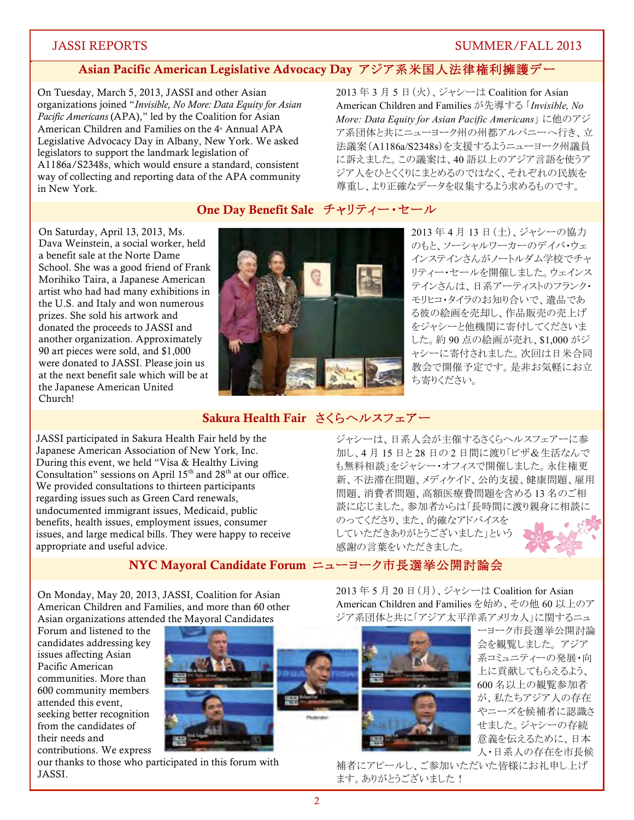# Asian Pacific American Legislative Advocacy Day アジア系米国人法律権利擁護デー

On Tuesday, March 5, 2013, JASSI and other Asian organizations joined "*Invisible, No More: Data Equity for Asian Pacific Americans* (APA)," led by the Coalition for Asian American Children and Families on the 4<sup>th</sup> Annual APA Legislative Advocacy Day in Albany, New York. We asked legislators to support the landmark legislation of A1186a/S2348s, which would ensure a standard, consistent way of collecting and reporting data of the APA community in New York.

2013年3月5日(火)、ジャシーは Coalition for Asian American Children and Families が先導する 「*Invisible, No More: Data Equity for Asian Pacific Americans*」に他のアジ ア系団体と共にニューヨーク州の州都アルバニーへ行き、立 法議案(A1186a/S2348s)を支援するようニューヨーク州議員 に訴えました。この議案は、40 語以上のアジア言語を使うア ジア人をひとくくりにまとめるのではなく、それぞれの民族を 尊重し、より正確なデータを収集するよう求めるものです。

# One Day Benefit Sale チャリティー・セール

On Saturday, April 13, 2013, Ms. Dava Weinstein, a social worker, held a benefit sale at the Norte Dame School. She was a good friend of Frank Morihiko Taira, a Japanese American artist who had had many exhibitions in the U.S. and Italy and won numerous prizes. She sold his artwork and donated the proceeds to JASSI and another organization. Approximately 90 art pieces were sold, and \$1,000 were donated to JASSI. Please join us at the next benefit sale which will be at the Japanese American United Church!



2013年4月13日(土)、ジャシーの協力 のもと、ソーシャルワーカーのデイバ・ウェ インステインさんがノートルダム学校でチャ リティー・セールを開催しました。ウェインス テインさんは、日系アーティストのフランク・ モリヒコ・タイラのお知り合いで、遺品であ る彼の絵画を売却し、作品販売の売上げ をジャシーと他機関に寄付してくださいま した。約90点の絵画が売れ、\$1,000 がジ ヤシーに寄付されました。次回は日米合同 教会で開催予定です。是非お気軽にお立 ち寄りください。

# Sakura Health Fair さくらヘルスフェアー

JASSI participated in Sakura Health Fair held by the Japanese American Association of New York, Inc. During this event, we held "Visa & Healthy Living Consultation" sessions on April  $15<sup>th</sup>$  and  $28<sup>th</sup>$  at our office. We provided consultations to thirteen participants regarding issues such as Green Card renewals, undocumented immigrant issues, Medicaid, public benefits, health issues, employment issues, consumer issues, and large medical bills. They were happy to receive appropriate and useful advice.

ジャシーは、日系人会が主催するさくらヘルスフェアーに参 加し、4月15日と28日の2日間に渡り「ビザ&生活なんで も無料相談」をジャシー・オフィスで開催しました。永住権更 新、不法滞在問題、メディケイド、公的支援、健康問題、雇用 問題、消費者問題、高額医療費問題を含める13名のご相 談に応じました。参加者からは「長時間に渡り親身に相談に

のってくださり、また、的確なアドバイスを していただきありがとうございました」という 感謝の言葉をいただきました。



NYC Mayoral Candidate Forum ニューヨーク市長選挙公開討論会

On Monday, May 20, 2013, JASSI, Coalition for Asian American Children and Families, and more than 60 other Asian organizations attended the Mayoral Candidates

Forum and listened to the candidates addressing key issues affecting Asian Pacific American communities. More than 600 community members attended this event, seeking better recognition from the candidates of their needs and contributions. We express



our thanks to those who participated in this forum with JASSI.

2013 5 ä 20 ØɠäɡǖȫɐȪɝȁ Coalition for Asian American Children and Families を始め、その他 60 以上のア ジア系団体と共に「アジア太平洋系アメリカ人」に関するニュ ーヨーク市長選挙公開討論



会を観覧しました。アジア 系コミュニティーの発展・向 上に貢献してもらえるよう、 600名以上の観覧参加者 が、私たちアジア人の存在 やニーズを候補者に認識さ せました。ジャシーの存続 意義を伝えるために、日本 人・日系人の存在を市長候

補者にアピールし、ご参加いただいた皆様にお礼申し上げ ます。ありがとうございました!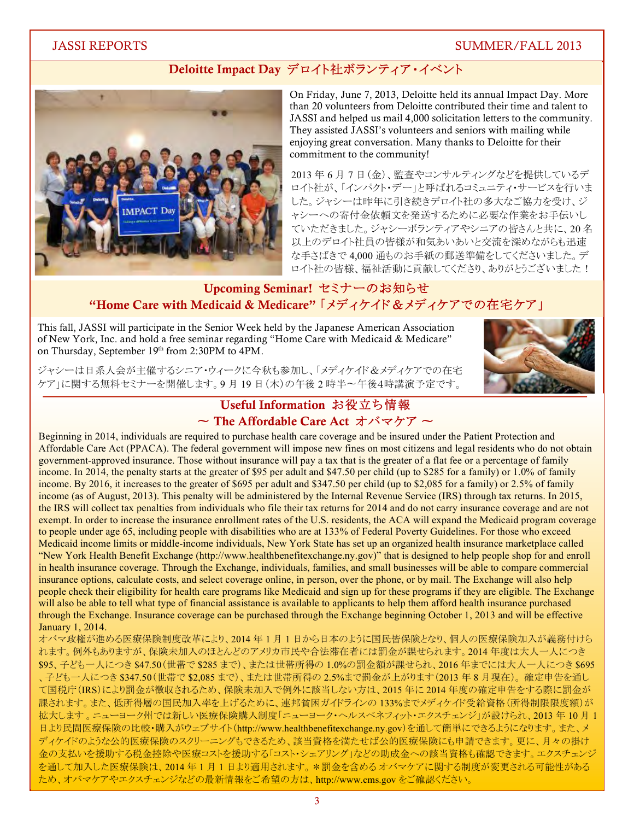# Deloitte Impact Day デロイト社ボランティア・イベント



On Friday, June 7, 2013, Deloitte held its annual Impact Day. More than 20 volunteers from Deloitte contributed their time and talent to JASSI and helped us mail 4,000 solicitation letters to the community. They assisted JASSI's volunteers and seniors with mailing while enjoying great conversation. Many thanks to Deloitte for their commitment to the community!

2013年6月7日(金)、監査やコンサルティングなどを提供しているデ ロイト社が、「インパクト・デー」と呼ばれるコミュニティ・サービスを行いま した。ジャシーは昨年に引き続きデロイト社の多大なご協力を受け、ジ ャシーへの寄付金依頼文を発送するために必要な作業をお手伝いし ていただきました。ジャシーボランティアやシニアの皆さんと共に、20名 以上のデロイト社員の皆様が和気あいあいと交流を深めながらも迅速 な手さばきで4,000 通ものお手紙の郵送準備をしてくださいました。デ ロイト社の皆様、福祉活動に貢献してくださり、ありがとうございました!

# Upcoming Seminar! セミナーのお知らせ "Home Care with Medicaid & Medicare" [メディケイド&メディケアでの在宅ケア」

This fall, JASSI will participate in the Senior Week held by the Japanese American Association of New York, Inc. and hold a free seminar regarding "Home Care with Medicaid & Medicare" on Thursday, September 19th from 2:30PM to 4PM.

ジャシーは日系人会が主催するシニア・ウィークに今秋も参加し、「メディケイド&メディケアでの在宅 ケア」に関する無料セミナーを開催します。9月19日 (木)の午後2時半~午後4時講演予定です。



# Useful Information お役立ち情報 ~ The Affordable Care Act オバマケア ~

Beginning in 2014, individuals are required to purchase health care coverage and be insured under the Patient Protection and Affordable Care Act (PPACA). The federal government will impose new fines on most citizens and legal residents who do not obtain government-approved insurance. Those without insurance will pay a tax that is the greater of a flat fee or a percentage of family income. In 2014, the penalty starts at the greater of \$95 per adult and \$47.50 per child (up to \$285 for a family) or 1.0% of family income. By 2016, it increases to the greater of \$695 per adult and \$347.50 per child (up to \$2,085 for a family) or 2.5% of family income (as of August, 2013). This penalty will be administered by the Internal Revenue Service (IRS) through tax returns. In 2015, the IRS will collect tax penalties from individuals who file their tax returns for 2014 and do not carry insurance coverage and are not exempt. In order to increase the insurance enrollment rates of the U.S. residents, the ACA will expand the Medicaid program coverage to people under age 65, including people with disabilities who are at 133% of Federal Poverty Guidelines. For those who exceed Medicaid income limits or middle-income individuals, New York State has set up an organized health insurance marketplace called "New York Health Benefit Exchange (http://www.healthbenefitexchange.ny.gov)" that is designed to help people shop for and enroll in health insurance coverage. Through the Exchange, individuals, families, and small businesses will be able to compare commercial insurance options, calculate costs, and select coverage online, in person, over the phone, or by mail. The Exchange will also help people check their eligibility for health care programs like Medicaid and sign up for these programs if they are eligible. The Exchange will also be able to tell what type of financial assistance is available to applicants to help them afford health insurance purchased through the Exchange. Insurance coverage can be purchased through the Exchange beginning October 1, 2013 and will be effective January 1, 2014.

オバマ政権が進める医療保険制度改革により、2014 年1月1日から日本のように国民皆保険となり、個人の医療保険加入が義務付けら れます。例外もありますが、保険未加入のほとんどのアメリカ市民や合法滞在者には罰金が課せられます。2014 年度は大人一人につき \$95、子ども一人につき \$47.50(世帯で \$285 まで)、または世帯所得の 1.0%の罰金額が課せられ、 2016 年までには大人一人につき \$695 、子ども一人につき \$347.50(世帯で \$2,085 まで)、または世帯所得の 2.5%まで罰金が上がります(2013 年 8 月現在)。確定申告を通し て国税庁(IRS)により罰金が徴収されるため、保険未加入で例外に該当しない方は、2015年に2014年度の確定申告をする際に罰金が 課されます。また、低所得層の国民加入率を上げるために、連邦貧困ガイドラインの 133%までメディケイド受給資格(所得制限限度額)が 拡大します。ニューヨーク州では新しい医療保険購入制度「ニューヨーク・ヘルスベネフィット・エクスチェンジ」が設けられ、2013年10月1 日より民間医療保険の比較・購入がウェブサイト(http://www.healthbenefitexchange.ny.gov)を通して簡単にできるようになります。また、メ ディケイドのような公的医療保険のスクリーニングもできるため、該当資格を満たせば公的医療保険にも申請できます。更に、月々の掛け 金の支払いを援助する歴鑄字>続字を援助する「コスト・シェアリング」などの助成金への該当資格も確認できます。エクスチェンジ を通して加入した医療保険は、2014年1月1日より適用されます。 \*罰金を含める オバマケアに関する制度が変更される可能性がある ため、オバマケアやエクスチェンジなどの最新情報をご希望の方は、http://www.cms.gov をご確認ください。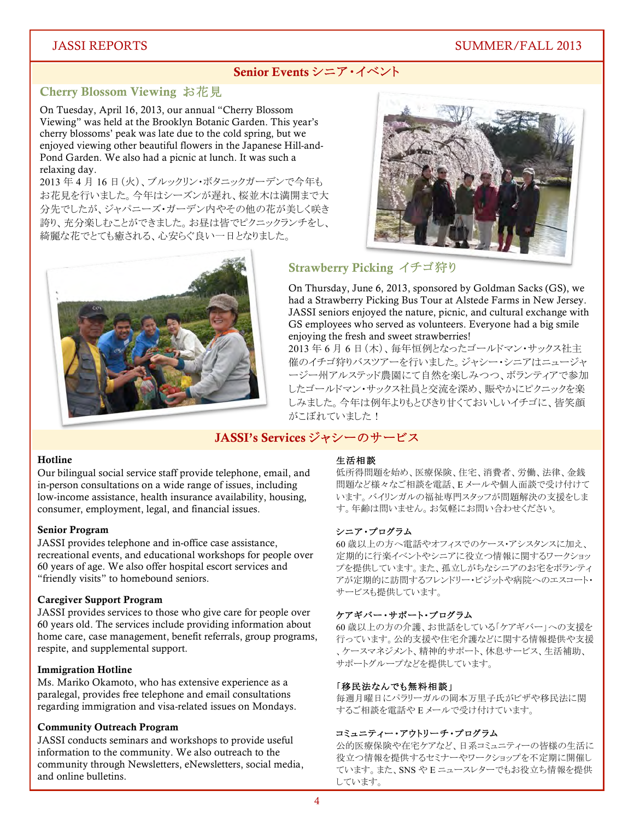# Senior Events シニア・イベント

# Cherry Blossom Viewing お花見

On Tuesday, April 16, 2013, our annual "Cherry Blossom Viewing" was held at the Brooklyn Botanic Garden. This year's cherry blossoms' peak was late due to the cold spring, but we enjoyed viewing other beautiful flowers in the Japanese Hill-and-Pond Garden. We also had a picnic at lunch. It was such a relaxing day.

2013 年4月16日 (火)、ブルックリン・ボタニックガーデンで今年も お花見を行いました。今年はシーズンが遅れ、桜並木は満開まで大 分先でしたが、ジャパニーズ·ガーデン内やその他の花が美しく咲き 誇り、充分楽しむことができました。お昼は皆でピクニックランチをし、 綺麗な花でとても癒される、心安らぐ良い一日となりました。





# Strawberry Picking イチゴ狩り

On Thursday, June 6, 2013, sponsored by Goldman Sacks (GS), we had a Strawberry Picking Bus Tour at Alstede Farms in New Jersey. JASSI seniors enjoyed the nature, picnic, and cultural exchange with GS employees who served as volunteers. Everyone had a big smile enjoying the fresh and sweet strawberries!

2013年6月6日(木)、毎年恒例となったゴールドマン・サックス社主 催のイチゴ狩りバスツアーを行いました。ジャシー・シニアはニュージャ ージー州アルステッド農園にて自然を楽しみつつ、ボランティアで参加 したゴールドマン・サックス社員と交流を深め、賑やかにピクニックを楽 しみました。今年は例年よりもとびきり甘くておいしいイチゴに、皆笑顔 がこぼれていました!

# JASSI's Services ジャシーのサービス

## Hotline

Our bilingual social service staff provide telephone, email, and in-person consultations on a wide range of issues, including low-income assistance, health insurance availability, housing, consumer, employment, legal, and financial issues.

#### Senior Program

JASSI provides telephone and in-office case assistance, recreational events, and educational workshops for people over 60 years of age. We also offer hospital escort services and "friendly visits" to homebound seniors.

#### Caregiver Support Program

JASSI provides services to those who give care for people over 60 years old. The services include providing information about home care, case management, benefit referrals, group programs, respite, and supplemental support.

#### Immigration Hotline

Ms. Mariko Okamoto, who has extensive experience as a paralegal, provides free telephone and email consultations regarding immigration and visa-related issues on Mondays.

#### Community Outreach Program

JASSI conducts seminars and workshops to provide useful information to the community. We also outreach to the community through Newsletters, eNewsletters, social media, and online bulletins.

#### 生活相談

低所得問題を始め、医療保険、住宅、消費者、労働、法律、金銭 問題など様々なご相談を電話、Eメールや個人面談で受け付けて います。バイリンガルの福祉専門スタッフが問題解決の支援をしま す。年齢は問いません。お気軽にお問い合わせください。

## シニア・プログラム

60 歳以上の方へ電話やオフィスでのケース・アシスタンスに加え、 定期的に行楽イベントやシニアに役立つ情報に関するワークショッ プを提供しています。また、孤立しがちなシニアのお宅をボランティ アが定期的に訪問するフレンドリー・ビジットや病院へのエスコート サービスも提供しています。

#### ȤȖȡȽɝɜȨɊɝȷɜɄəȣɕɍ

60 歳以上の方の介護、お世話をしている「ケアギバー」への支援を 行っています。公的支援や住宅介護などに関する情報提供や支援 、ケースマネジメント、精神的サポート、休息サービス、生活補助、 サポートグループなどを提供しています。

#### 「移民法なんでも無料相談」

毎週月曜日にパラリーガルの岡本万里子氏がビザや移民法に関 するご相談を電話やEメールで受け付けています。

#### コミュニティー・アウトリーチ・プログラム

公的医療保険や在宅ケアなど、日系コミュニティーの皆様の生活に 役立つ情報を提供するセミナーやワークショップを不定期に開催し ています。また、SNS や E ニュースレターでもお役立ち情報を提供 しています。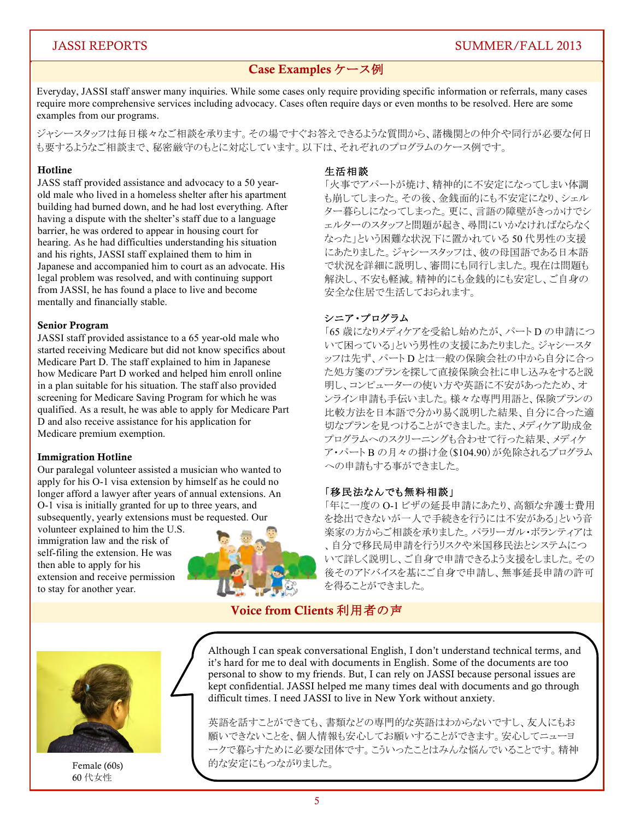# Case Examples ケース例

Everyday, JASSI staff answer many inquiries. While some cases only require providing specific information or referrals, many cases require more comprehensive services including advocacy. Cases often require days or even months to be resolved. Here are some examples from our programs.

ジャシースタッフは毎日様々なご相談を承ります。その場ですぐお答えできるような質問から、諸機関との仲介や同行が必要な何日 も要するようなご相談まで、秘密厳守のもとに対応しています。以下は、それぞれのプログラムのケース例です。

## Hotline

JASS staff provided assistance and advocacy to a 50 yearold male who lived in a homeless shelter after his apartment building had burned down, and he had lost everything. After having a dispute with the shelter's staff due to a language barrier, he was ordered to appear in housing court for hearing. As he had difficulties understanding his situation and his rights, JASSI staff explained them to him in Japanese and accompanied him to court as an advocate. His legal problem was resolved, and with continuing support from JASSI, he has found a place to live and become mentally and financially stable.

## Senior Program

JASSI staff provided assistance to a 65 year-old male who started receiving Medicare but did not know specifics about Medicare Part D. The staff explained to him in Japanese how Medicare Part D worked and helped him enroll online in a plan suitable for his situation. The staff also provided screening for Medicare Saving Program for which he was qualified. As a result, he was able to apply for Medicare Part D and also receive assistance for his application for Medicare premium exemption.

## Immigration Hotline

Our paralegal volunteer assisted a musician who wanted to apply for his O-1 visa extension by himself as he could no longer afford a lawyer after years of annual extensions. An O-1 visa is initially granted for up to three years, and subsequently, yearly extensions must be requested. Our

volunteer explained to him the U.S. immigration law and the risk of self-filing the extension. He was then able to apply for his extension and receive permission to stay for another year.



#### 生活相談

「火事でアパートが焼け、精神的に不安定になってしまい体調 も崩してしまった。その後、金銭面的にも不安定になり、シェル ター暮らしになってしまった。更に、言語の障壁がきっかけでシ ェルターのスタッフと問題が起き、尋問にいかなければならなく なった」という困難な状況下に置かれている50代男性の支援 にあたりました。ジャシースタッフは、彼の母国語である日本語 で状況を詳細に説明し、審問にも同行しました。現在は問題も 解決し、不安も軽減。精神的にも金銭的にも安定し、ご自身の 安全な住居で生活しておられます。

# シニア・プログラム

「65 歳になりメディケアを受給し始めたが、パートDの申請につ いて困っている」という男性の支援にあたりました。ジャシースタ ッフは先ず、パートDとは一般の保険会社の中から自分に合っ た処方箋のプランを探して直接保険会社に申し込みをすると説 明し、コンピューターの使い方や英語に不安があったため、オ ンライン申請も手伝いました。様々な専門用語と、保険プランの 比較方法を日本語で分かり易く説明した結果、自分に合った適 切なプランを見つけることができました。また、メディケア助成金 プログラムへのスクリーニングも合わせて行った結果、メディケ ア・パートB の月々の掛け金(\$104.90)が免除されるプログラム への申請もする事ができました。

## 「移民法なんでも無料相談」

「年に一度の O-1 ビザの延長申請にあたり、高額な弁護士費用 を捻出できないが一人で手続きを行うには不安がある」という音 楽家の方からご相談を承りました。パラリーガル・ボランティアは 、自分で移民局申請を行うリスクや米国移民法とシステムにつ いて詳しく説明し、ご自身で申請できるよう支援をしました。その 後そのアドバイスを基にご自身で申請し、無事延長申請の許可 を得ることができました。

# Voice from Clients 利用者の声



60 代女性

Although I can speak conversational English, I don't understand technical terms, and it's hard for me to deal with documents in English. Some of the documents are too personal to show to my friends. But, I can rely on JASSI because personal issues are kept confidential. JASSI helped me many times deal with documents and go through difficult times. I need JASSI to live in New York without anxiety.

英語を話すことができても、書類などの専門的な英語はわからないですし、友人にもお 願いできないことを、個人情報も安心してお願いすることができます。安心してニューヨ ークで暮らすために必要な団体です。こういったことはみんな悩んでいることです。精神 Female (60s) <br> **Internal** internal interval interval interval interval interval interval interval interval interval interval interval interval interval interval interval interval interval interval interval interval inter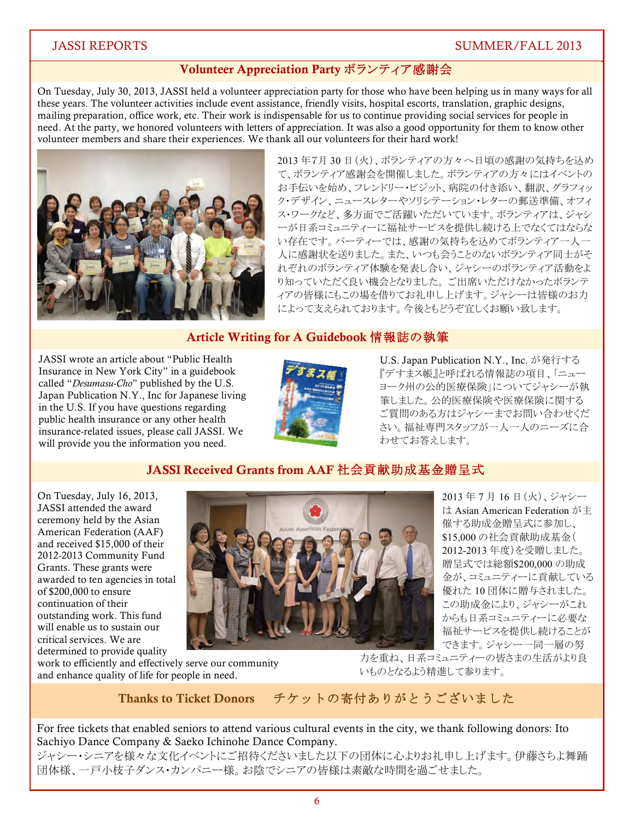# Volunteer Appreciation Party ボランティア感謝会

On Tuesday, July 30, 2013, JASSI held a volunteer appreciation party for those who have been helping us in many ways for all these years. The volunteer activities include event assistance, friendly visits, hospital escorts, translation, graphic designs, mailing preparation, office work, etc. Their work is indispensable for us to continue providing social services for people in need. At the party, we honored volunteers with letters of appreciation. It was also a good opportunity for them to know other volunteer members and share their experiences. We thank all our volunteers for their hard work!



2013 年7月 30 日 (火)、ボランティアの方々へ日頃の感謝の気持ちを込め て、ボランティア感謝会を開催しました。ボランティアの方々にはイベントの お手伝いを始め、フレンドリー・ビジット、病院の付き添い、翻訳、グラフィッ ク・デザイン、ニュースレターやソリシテーション・レターの郵送準備、オフィ ス・ワークなど、多方面でご活躍いただいています。ボランティアは、ジャシ ーが日系コミュニティーに福祉サービスを提供し続ける上でなくてはならな い存在です。 パーティーでは、感謝の気持ちを込めてボランティアー人一 人に感謝状を送りました。また、いつも会うことのないボランティア同士がそ れぞれのボランティア体験を発表し合い、ジャシーのボランティア活動をよ り知っていただく良い機会となりました。ご出席いただけなかったボランテ イアの皆様にもこの場を借りてお礼申し上げます。ジャシーは皆様のお力 によって支えられております。今後ともどうぞ宜しくお願い致します。

# Article Writing for A Guidebook 情報誌の執筆

JASSI wrote an article about "Public Health Insurance in New York City" in a guidebook called "*Desumasu-Cho*" published by the U.S. Japan Publication N.Y., Inc for Japanese living in the U.S. If you have questions regarding public health insurance or any other health insurance-related issues, please call JASSI. We will provide you the information you need.



U.S. Japan Publication N.Y., Inc. が発行する 『デすまス帳』と呼ばれる情報誌の項目、「ニュー ヨーク州の公的医療保険」についてジャシーが執 筆しました。公的医療保険や医療保険に関する ご質問のある方はジャシーまでお問い合わせくだ さい。福祉専門スタッフが一人一人のニーズに合 わせてお答えします。

# JASSI Received Grants from AAF 社会貢献助成基金贈呈式

On Tuesday, July 16, 2013, JASSI attended the award ceremony held by the Asian American Federation (AAF) and received \$15,000 of their 2012-2013 Community Fund Grants. These grants were awarded to ten agencies in total of \$200,000 to ensure continuation of their outstanding work. This fund will enable us to sustain our critical services. We are determined to provide quality



2013年7月16日(火)、ジャシー  $\forall$  Asian American Federation  $\vec{D}$  + 催する助成金贈呈式に参加し、 \$15,000 の社会貢献助成基金( 2012-2013 年度)を受贈しました。 贈呈式では総額\$200,000 の助成 金が、コミュニティーに貢献している 優れた10団体に贈与されました。 この助成金により、ジャシーがこれ からも日系コミュニティーに必要な 福祉サービスを提供し続けることが できます。ジャシー一同一層の努

work to efficiently and effectively serve our community and enhance quality of life for people in need.

力を重ね、日系コミュニティーの皆さまの生活がより良 いものとなるよう精進して参ります。

#### **Thanks to Ticket Donors** チケットの寄付ありがとうございました

For free tickets that enabled seniors to attend various cultural events in the city, we thank following donors: Ito Sachiyo Dance Company & Saeko Ichinohe Dance Company.

ジャシー・シニアを様々な文化イベントにご招待くださいました以下の団体に心よりお礼申し上げます。伊藤さちよ舞踊 団体様、一戸小枝子ダンス・カンパニー様。お陰でシニアの皆様は素敵な時間を過ごせました。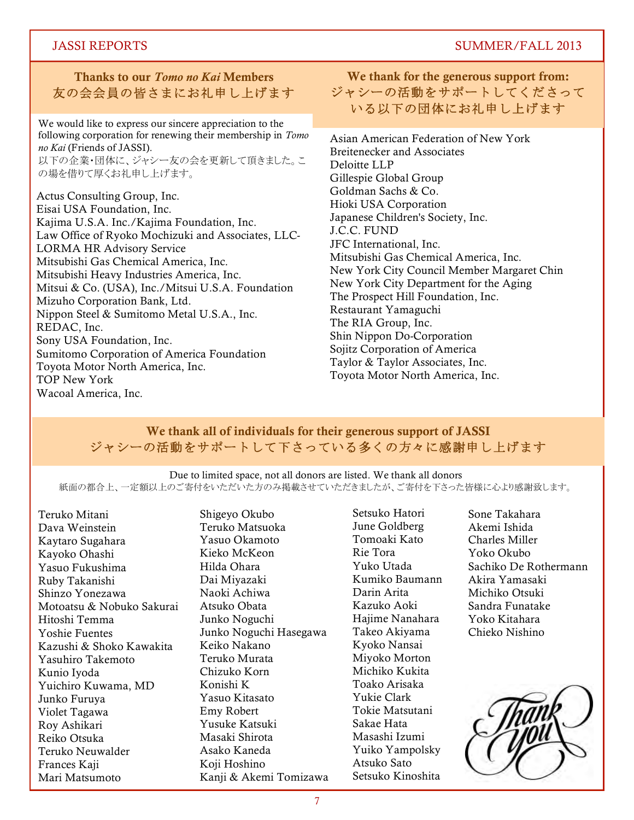# Thanks to our *Tomo no Kai* Members 友の会会員の皆さまにお礼申し上げます

We would like to express our sincere appreciation to the following corporation for renewing their membership in *Tomo no Kai* (Friends of JASSI). 以下の企業・団体に、ジャシー友の会を更新して頂きました。こ の場を借りて厚くお礼申し上げます。

Actus Consulting Group, Inc. Eisai USA Foundation, Inc. Kajima U.S.A. Inc./Kajima Foundation, Inc. Law Office of Ryoko Mochizuki and Associates, LLC-LORMA HR Advisory Service Mitsubishi Gas Chemical America, Inc. Mitsubishi Heavy Industries America, Inc. Mitsui & Co. (USA), Inc./Mitsui U.S.A. Foundation Mizuho Corporation Bank, Ltd. Nippon Steel & Sumitomo Metal U.S.A., Inc. REDAC, Inc. Sony USA Foundation, Inc. Sumitomo Corporation of America Foundation Toyota Motor North America, Inc. TOP New York Wacoal America, Inc.

# We thank for the generous support from: ジャシーの活動をサポートしてくださって いる以下の団体にお礼申し上げます

Asian American Federation of New York Breitenecker and Associates Deloitte LLP Gillespie Global Group Goldman Sachs & Co. Hioki USA Corporation Japanese Children's Society, Inc. J.C.C. FUND JFC International, Inc. Mitsubishi Gas Chemical America, Inc. New York City Council Member Margaret Chin New York City Department for the Aging The Prospect Hill Foundation, Inc. Restaurant Yamaguchi The RIA Group, Inc. Shin Nippon Do-Corporation Sojitz Corporation of America Taylor & Taylor Associates, Inc. Toyota Motor North America, Inc.

# We thank all of individuals for their generous support of JASSI ジャシーの活動をサポートして下さっている多くの方々に感謝申し上げます

Due to limited space, not all donors are listed. We thank all donors 紙面の都合上、一定額以上のご寄付をいただのみ掲載させていただきましたが、ご寄付を下さった皆様に心より感謝致します。

Teruko Mitani Dava Weinstein Kaytaro Sugahara Kayoko Ohashi Yasuo Fukushima Ruby Takanishi Shinzo Yonezawa Motoatsu & Nobuko Sakurai Hitoshi Temma Yoshie Fuentes Kazushi & Shoko Kawakita Yasuhiro Takemoto Kunio Iyoda Yuichiro Kuwama, MD Junko Furuya Violet Tagawa Roy Ashikari Reiko Otsuka Teruko Neuwalder Frances Kaji Mari Matsumoto

Shigeyo Okubo Teruko Matsuoka Yasuo Okamoto Kieko McKeon Hilda Ohara Dai Miyazaki Naoki Achiwa Atsuko Obata Junko Noguchi Junko Noguchi Hasegawa Keiko Nakano Teruko Murata Chizuko Korn Konishi K Yasuo Kitasato Emy Robert Yusuke Katsuki Masaki Shirota Asako Kaneda Koji Hoshino Kanji & Akemi Tomizawa

Setsuko Hatori June Goldberg Tomoaki Kato Rie Tora Yuko Utada Kumiko Baumann Darin Arita Kazuko Aoki Hajime Nanahara Takeo Akiyama Kyoko Nansai Miyoko Morton Michiko Kukita Toako Arisaka Yukie Clark Tokie Matsutani Sakae Hata Masashi Izumi Yuiko Yampolsky Atsuko Sato Setsuko Kinoshita

Sone Takahara Akemi Ishida Charles Miller Yoko Okubo Sachiko De Rothermann Akira Yamasaki Michiko Otsuki Sandra Funatake Yoko Kitahara Chieko Nishino